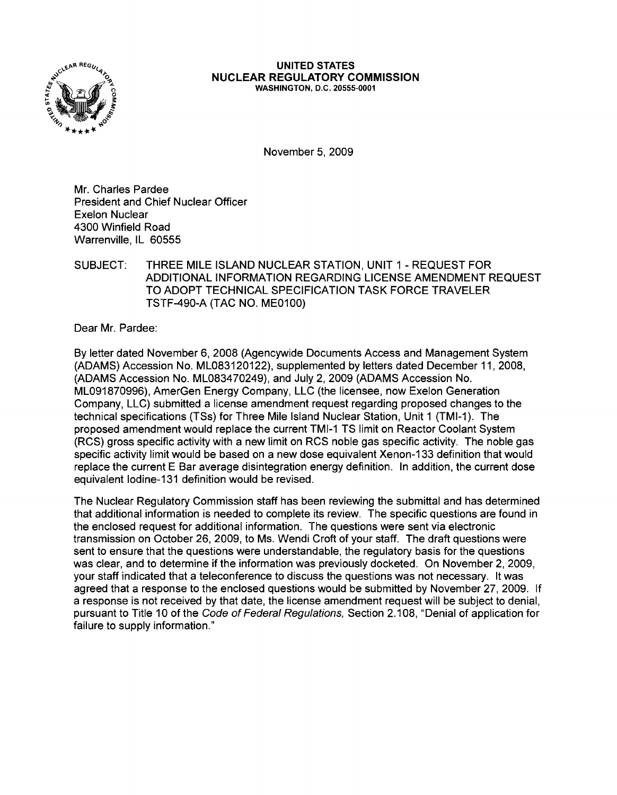

#### UNITED STATES NUCLEAR REGULATORY COMMISSION WASHINGTON, D.C. 20555-0001

November 5, 2009

Mr. Charles Pardee President and Chief Nuclear Officer Exelon Nuclear 4300 Winfield Road Warrenville, IL 60555

#### SUBJECT: THREE MILE ISLAND NUCLEAR STATION, UNIT 1 - REQUEST FOR ADDITIONAL INFORMATION REGARDING LICENSE AMENDMENT REQUEST TO ADOPT TECHNICAL SPECIFICATION TASK FORCE TRAVELER TSTF-490-A (TAC NO. ME0100)

Dear Mr. Pardee:

By letter dated November 6, 2008 (Agencywide Documents Access and Management System (ADAMS) Accession No. ML083120122), supplemented by letters dated December 11,2008, (ADAMS Accession No. ML083470249), and July 2,2009 (ADAMS Accession No. ML091870996), AmerGen Energy Company, LLC (the licensee, now Exelon Generation Company, LLC) submitted a license amendment request regarding proposed changes to the technical specifications (TSs) for Three Mile Island Nuclear Station, Unit 1 (TMI-1). The proposed amendment would replace the current TMI-1 TS limit on Reactor Coolant System (RCS) gross specific activity with a new limit on RCS noble gas specific activity. The noble gas specific activity limit would be based on a new dose equivalent Xenon-133 definition that would replace the current E Bar average disintegration energy definition. In addition, the current dose equivalent lodine-131 definition would be revised.

The Nuclear Regulatory Commission staff has been reviewing the submittal and has determined that additional information is needed to complete its review. The specific questions are found in the enclosed request for additional information. The questions were sent via electronic transmission on October 26, 2009, to Ms. Wendi Croft of your staff. The draft questions were sent to ensure that the questions were understandable, the regulatory basis for the questions was clear, and to determine if the information was previously docketed. On November 2, 2009, your staff indicated that a teleconference to discuss the questions was not necessary. It was agreed that a response to the enclosed questions would be submitted by November 27,2009. If a response is not received by that date, the license amendment request will be subject to denial, pursuant to Title 10 of the Code of Federal Regulations, Section 2.108, "Denial of application for failure to supply information."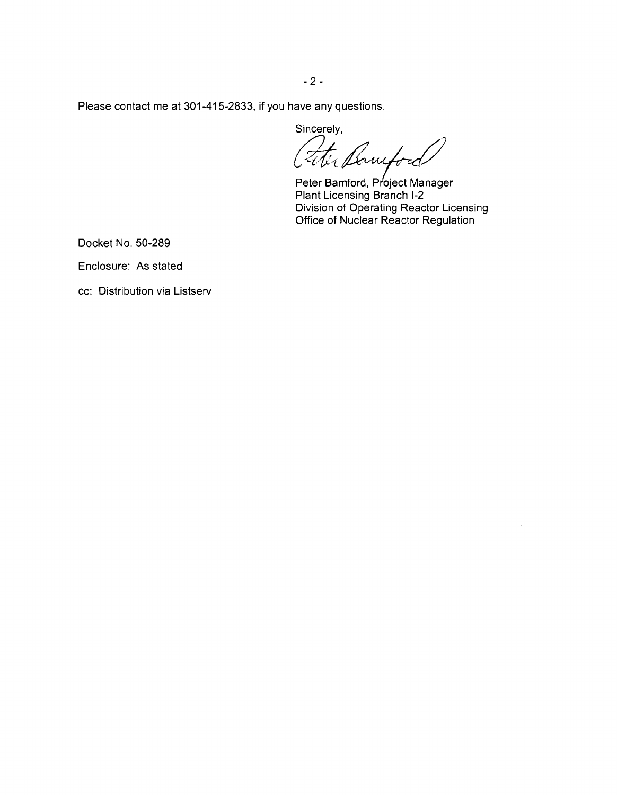Please contact me at 301-415-2833, if you have any questions.

sincerely,<br>Fititlewiford

Peter Bamford, Project Manager Plant Licensing Branch 1-2 Division of Operating Reactor Licensing Office of Nuclear Reactor Regulation

Docket No. 50-289

Enclosure: As stated

cc: Distribution via Listserv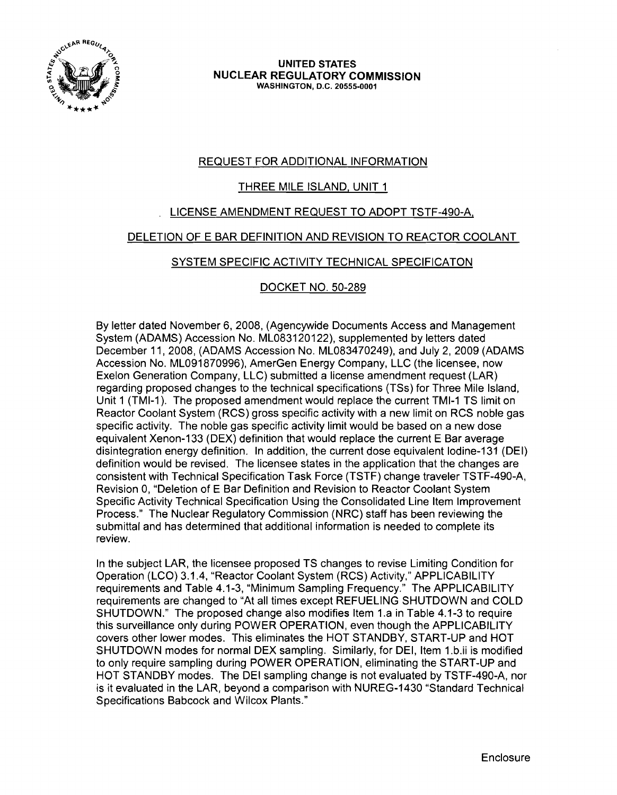

**UNITED STATES NUCLEAR REGULATORY COMMISSION** WASHINGTON, D.C. 20555-0001

# REQUEST FOR ADDITIONAL INFORMATION

# THREE MILE ISLAND, UNIT 1

# LICENSE AMENDMENT REQUEST TO ADOPT TSTF-490-A,

#### DELETION OF E BAR DEFINITION AND REVISION TO REACTOR COOLANT

## SYSTEM SPECIFIC ACTIVITY TECHNICAL SPECIFICATON

## DOCKET NO. 50-289

By letter dated November 6, 2008, (Agencywide Documents Access and Management System (ADAMS) Accession No. ML083120122), supplemented by letters dated December 11, 2008, (ADAMS Accession No. ML083470249), and July 2, 2009 (ADAMS Accession No. ML091870996), AmerGen Energy Company, LLC (the licensee, now Exelon Generation Company, LLC) submitted a license amendment request (LAR) regarding proposed changes to the technical specifications (TSs) for Three Mile Island, Unit 1 (TMI-1). The proposed amendment would replace the current TMI-1 TS limit on Reactor Coolant System (RCS) gross specific activity with a new limit on RCS noble gas specific activity. The noble gas specific activity limit would be based on a new dose equivalent Xenon-133 (DEX) definition that would replace the current E Bar average disintegration energy definition. In addition, the current dose equivalent lodine-131 (DEI) definition would be revised. The licensee states in the application that the changes are consistent with Technical Specification Task Force (TSTF) change traveler TSTF-490-A, Revision 0, "Deletion of E Bar Definition and Revision to Reactor Coolant System Specific Activity Technical Specification Using the Consolidated Line Item Improvement Process." The Nuclear Regulatory Commission (NRC) staff has been reviewing the submittal and has determined that additional information is needed to complete its review.

In the subject LAR, the licensee proposed TS changes to revise Limiting Condition for Operation (LCO) 3.1.4, "Reactor Coolant System (RCS) Activity," APPLICABILITY requirements and Table 4.1-3, "Minimum Sampling Frequency." The APPLICABILITY requirements are changed to "At all times except REFUELING SHUTDOWN and COLD SHUTDOWN." The proposed change also modifies Item 1.a in Table 4.1-3 to require this surveillance only during POWER OPERATION, even though the APPLICABILITY covers other lower modes. This eliminates the HOT STANDBY, START-UP and HOT SHUTDOWN modes for normal DEX sampling. Similarly, for DEI, Item 1.b.ii is modified to only require sampling during POWER OPERATION, eliminating the START-UP and HOT STANDBY modes. The DEI sampling change is not evaluated by TSTF-490-A, nor is it evaluated in the LAR, beyond a comparison with NUREG-1430 "Standard Technical Specifications Babcock and Wilcox Plants."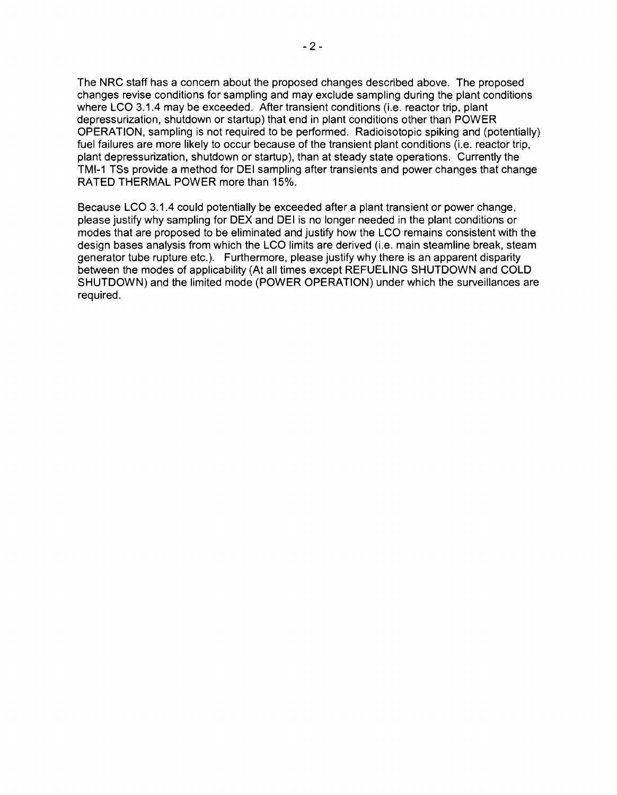The NRC staff has a concern about the proposed changes described above. The proposed changes revise conditions for sampling and may exclude sampling during the plant conditions where LCO 3.1.4 may be exceeded. After transient conditions (i.e. reactor trip, plant depressurization, shutdown or startup) that end in plant conditions other than POWER OPERATION, sampling is not required to be performed. Radioisotopic spiking and (potentially) fuel failures are more likely to occur because of the transient plant conditions (i.e. reactor trip, plant depressurization, shutdown or startup), than at steady state operations. Currently the TMI-1 TSs provide a method for DEI sampling after transients and power changes that change RATED THERMAL POWER more than 15%.

Because LCO 3.1.4 could potentially be exceeded after a plant transient or power change, please justify why sampling for DEX and DEI is no longer needed in the plant conditions or modes that are proposed to be eliminated and justify how the LCO remains consistent with the design bases analysis from which the LCO limits are derived (i.e. main steamline break, steam generator tube rupture etc.). Furthermore, please justify why there is an apparent disparity between the modes of applicability (At all times except REFUELING SHUTDOWN and COLD SHUTDOWN) and the limited mode (POWER OPERATION) under which the surveillances are required.